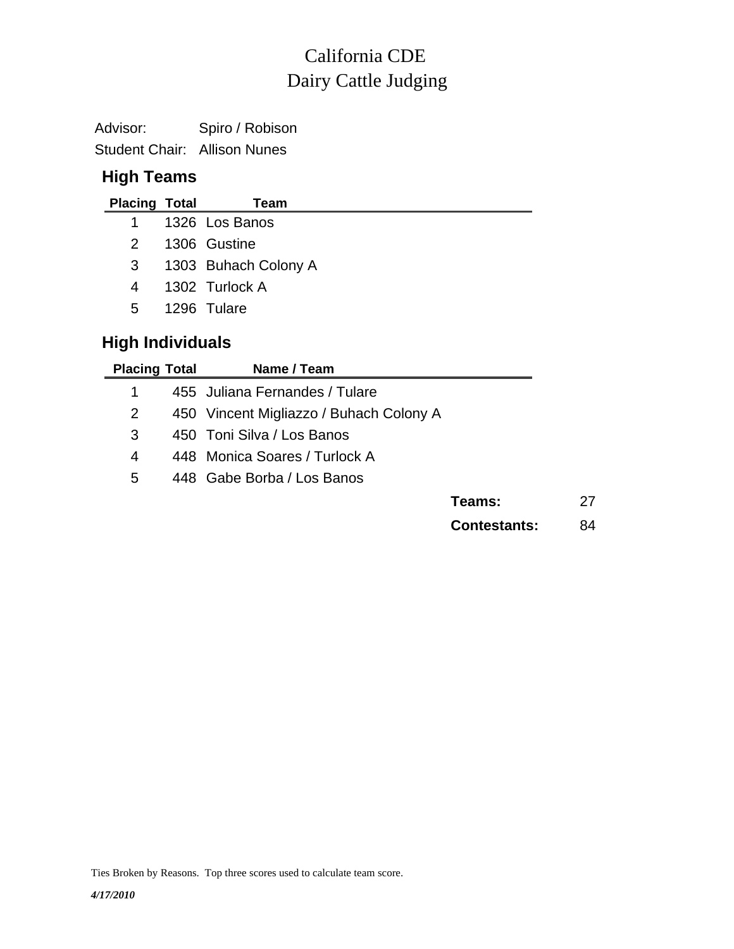# Dairy Cattle Judging California CDE

Advisor: Spiro / Robison Student Chair: Allison Nunes

### **High Teams**

| <b>Placing Total</b>    | Team                 |
|-------------------------|----------------------|
| 1                       | 1326 Los Banos       |
| 2                       | 1306 Gustine         |
| 3                       | 1303 Buhach Colony A |
| 4                       | 1302 Turlock A       |
| 5                       | 1296 Tulare          |
| <b>High Individuals</b> |                      |

| <b>Placing Total</b> | Name / Team                             |                     |    |
|----------------------|-----------------------------------------|---------------------|----|
| 1                    | 455 Juliana Fernandes / Tulare          |                     |    |
| 2                    | 450 Vincent Migliazzo / Buhach Colony A |                     |    |
| 3                    | 450 Toni Silva / Los Banos              |                     |    |
| 4                    | 448 Monica Soares / Turlock A           |                     |    |
| 5                    | 448 Gabe Borba / Los Banos              |                     |    |
|                      |                                         | Teams:              | 27 |
|                      |                                         | <b>Contestants:</b> | 84 |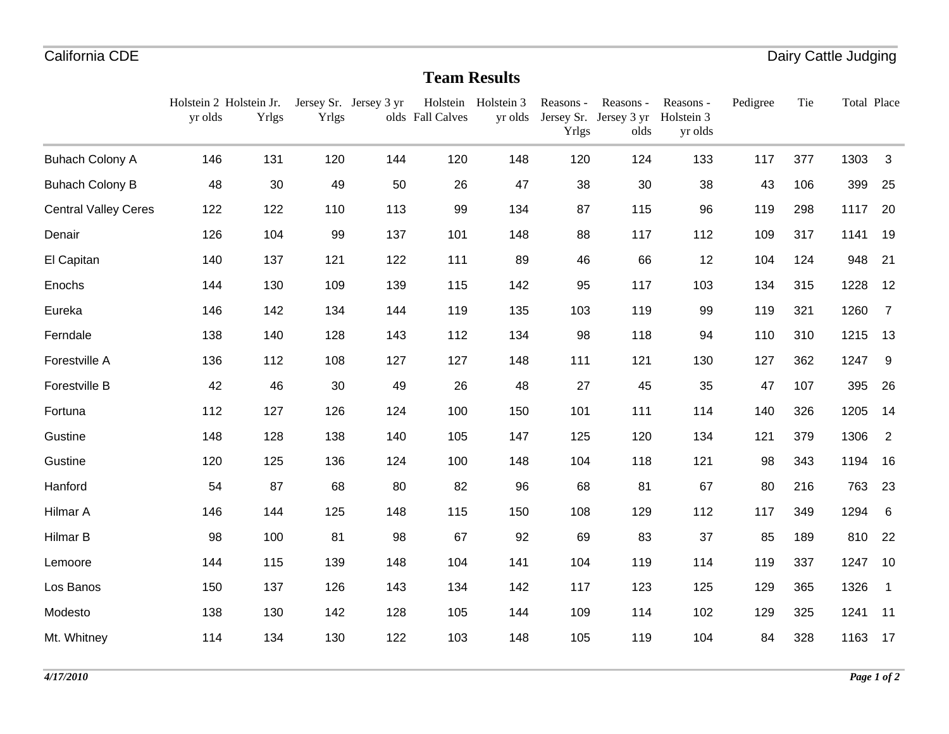#### **Team Results**

|                             | Holstein 2 Holstein Jr.<br>yr olds | <b>Yrlgs</b> | Yrlgs | Jersey Sr. Jersey 3 yr | olds Fall Calves | Holstein Holstein 3 | Reasons -<br>Yrlgs | Reasons -<br>yr olds Jersey Sr. Jersey 3 yr<br>olds | Reasons -<br>Holstein 3<br>yr olds | Pedigree | Tie | Total Place |                |
|-----------------------------|------------------------------------|--------------|-------|------------------------|------------------|---------------------|--------------------|-----------------------------------------------------|------------------------------------|----------|-----|-------------|----------------|
| <b>Buhach Colony A</b>      | 146                                | 131          | 120   | 144                    | 120              | 148                 | 120                | 124                                                 | 133                                | 117      | 377 | 1303        | 3              |
| <b>Buhach Colony B</b>      | 48                                 | 30           | 49    | 50                     | 26               | 47                  | 38                 | 30                                                  | 38                                 | 43       | 106 | 399         | 25             |
| <b>Central Valley Ceres</b> | 122                                | 122          | 110   | 113                    | 99               | 134                 | 87                 | 115                                                 | 96                                 | 119      | 298 | 1117        | 20             |
| Denair                      | 126                                | 104          | 99    | 137                    | 101              | 148                 | 88                 | 117                                                 | 112                                | 109      | 317 | 1141        | 19             |
| El Capitan                  | 140                                | 137          | 121   | 122                    | 111              | 89                  | 46                 | 66                                                  | 12                                 | 104      | 124 | 948         | 21             |
| Enochs                      | 144                                | 130          | 109   | 139                    | 115              | 142                 | 95                 | 117                                                 | 103                                | 134      | 315 | 1228        | 12             |
| Eureka                      | 146                                | 142          | 134   | 144                    | 119              | 135                 | 103                | 119                                                 | 99                                 | 119      | 321 | 1260        | $\overline{7}$ |
| Ferndale                    | 138                                | 140          | 128   | 143                    | 112              | 134                 | 98                 | 118                                                 | 94                                 | 110      | 310 | 1215        | 13             |
| Forestville A               | 136                                | 112          | 108   | 127                    | 127              | 148                 | 111                | 121                                                 | 130                                | 127      | 362 | 1247        | 9              |
| Forestville B               | 42                                 | 46           | 30    | 49                     | 26               | 48                  | 27                 | 45                                                  | 35                                 | 47       | 107 | 395         | 26             |
| Fortuna                     | 112                                | 127          | 126   | 124                    | 100              | 150                 | 101                | 111                                                 | 114                                | 140      | 326 | 1205        | 14             |
| Gustine                     | 148                                | 128          | 138   | 140                    | 105              | 147                 | 125                | 120                                                 | 134                                | 121      | 379 | 1306        | $\overline{2}$ |
| Gustine                     | 120                                | 125          | 136   | 124                    | 100              | 148                 | 104                | 118                                                 | 121                                | 98       | 343 | 1194        | 16             |
| Hanford                     | 54                                 | 87           | 68    | 80                     | 82               | 96                  | 68                 | 81                                                  | 67                                 | 80       | 216 | 763         | 23             |
| Hilmar A                    | 146                                | 144          | 125   | 148                    | 115              | 150                 | 108                | 129                                                 | 112                                | 117      | 349 | 1294        | 6              |
| Hilmar B                    | 98                                 | 100          | 81    | 98                     | 67               | 92                  | 69                 | 83                                                  | 37                                 | 85       | 189 | 810         | 22             |
| Lemoore                     | 144                                | 115          | 139   | 148                    | 104              | 141                 | 104                | 119                                                 | 114                                | 119      | 337 | 1247        | 10             |
| Los Banos                   | 150                                | 137          | 126   | 143                    | 134              | 142                 | 117                | 123                                                 | 125                                | 129      | 365 | 1326        | $\mathbf{1}$   |
| Modesto                     | 138                                | 130          | 142   | 128                    | 105              | 144                 | 109                | 114                                                 | 102                                | 129      | 325 | 1241        | 11             |
| Mt. Whitney                 | 114                                | 134          | 130   | 122                    | 103              | 148                 | 105                | 119                                                 | 104                                | 84       | 328 | 1163        | 17             |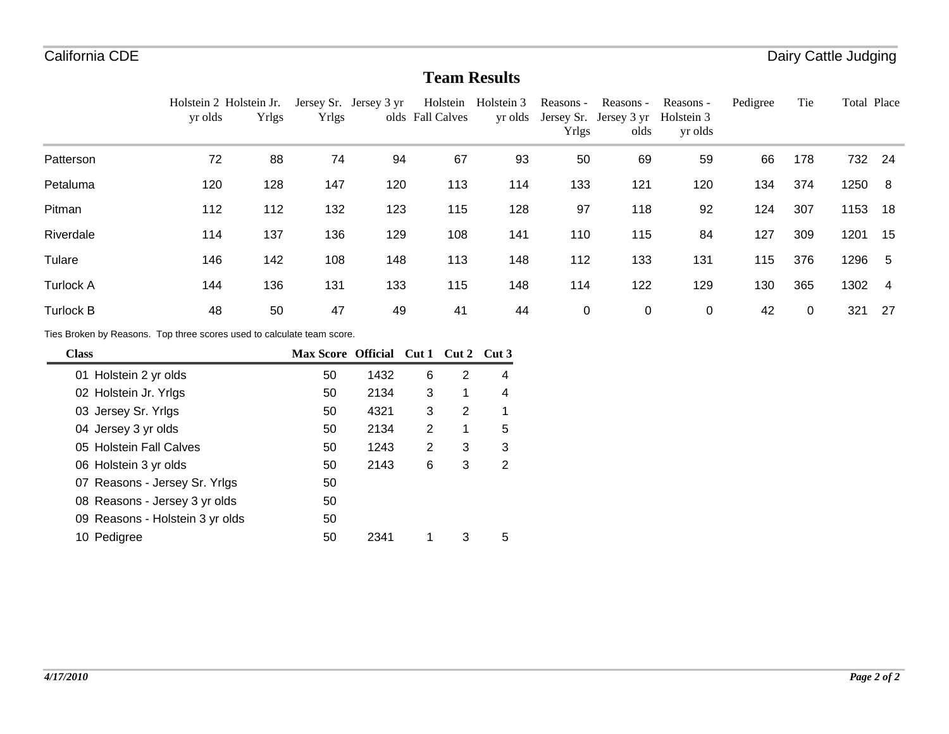### **Team Results**

|                  | Holstein 2 Holstein Jr.                                                |              |              | Jersey Sr. Jersey 3 yr                   | Holstein         | Holstein 3 | Reasons -   | Reasons -                      | Reasons -             | Pedigree | Tie         | Total Place |                |
|------------------|------------------------------------------------------------------------|--------------|--------------|------------------------------------------|------------------|------------|-------------|--------------------------------|-----------------------|----------|-------------|-------------|----------------|
|                  | yr olds                                                                | <b>Yrlgs</b> | <b>Yrlgs</b> |                                          | olds Fall Calves | yr olds    | Yrlgs       | Jersey Sr. Jersey 3 yr<br>olds | Holstein 3<br>yr olds |          |             |             |                |
| Patterson        | 72                                                                     | 88           | 74           | 94                                       | 67               | 93         | 50          | 69                             | 59                    | 66       | 178         | 732         | 24             |
| Petaluma         | 120                                                                    | 128          | 147          | 120                                      | 113              | 114        | 133         | 121                            | 120                   | 134      | 374         | 1250        | -8             |
| Pitman           | 112                                                                    | 112          | 132          | 123                                      | 115              | 128        | 97          | 118                            | 92                    | 124      | 307         | 1153        | 18             |
| Riverdale        | 114                                                                    | 137          | 136          | 129                                      | 108              | 141        | 110         | 115                            | 84                    | 127      | 309         | 1201        | -15            |
| Tulare           | 146                                                                    | 142          | 108          | 148                                      | 113              | 148        | 112         | 133                            | 131                   | 115      | 376         | 1296        | -5             |
| <b>Turlock A</b> | 144                                                                    | 136          | 131          | 133                                      | 115              | 148        | 114         | 122                            | 129                   | 130      | 365         | 1302        | $\overline{4}$ |
| <b>Turlock B</b> | 48                                                                     | 50           | 47           | 49                                       | 41               | 44         | $\mathbf 0$ | $\pmb{0}$                      | 0                     | 42       | $\mathbf 0$ | 321         | -27            |
|                  | Ties Broken by Reasons. Top three scores used to calculate team score. |              |              |                                          |                  |            |             |                                |                       |          |             |             |                |
| C <sub>loc</sub> |                                                                        |              |              | May Score, Official, Cut 1, Cut 2, Cut 3 |                  |            |             |                                |                       |          |             |             |                |

| <b>Class</b>                    | <b>Max Score Official</b> |      | Cut 1 | Cut 2 | Cut 3 |
|---------------------------------|---------------------------|------|-------|-------|-------|
| 01 Holstein 2 yr olds           | 50                        | 1432 | 6     | 2     | 4     |
| 02 Holstein Jr. Yrlgs           | 50                        | 2134 | 3     | 1     | 4     |
| 03 Jersey Sr. Yrlgs             | 50                        | 4321 | 3     | 2     | 1     |
| 04 Jersey 3 yr olds             | 50                        | 2134 | 2     | 1     | 5     |
| 05 Holstein Fall Calves         | 50                        | 1243 | 2     | 3     | 3     |
| 06 Holstein 3 yr olds           | 50                        | 2143 | 6     | 3     | 2     |
| 07 Reasons - Jersey Sr. Yrlgs   | 50                        |      |       |       |       |
| 08 Reasons - Jersey 3 yr olds   | 50                        |      |       |       |       |
| 09 Reasons - Holstein 3 yr olds | 50                        |      |       |       |       |
| Pedigree<br>10                  | 50                        | 2341 |       | 3     | 5     |

-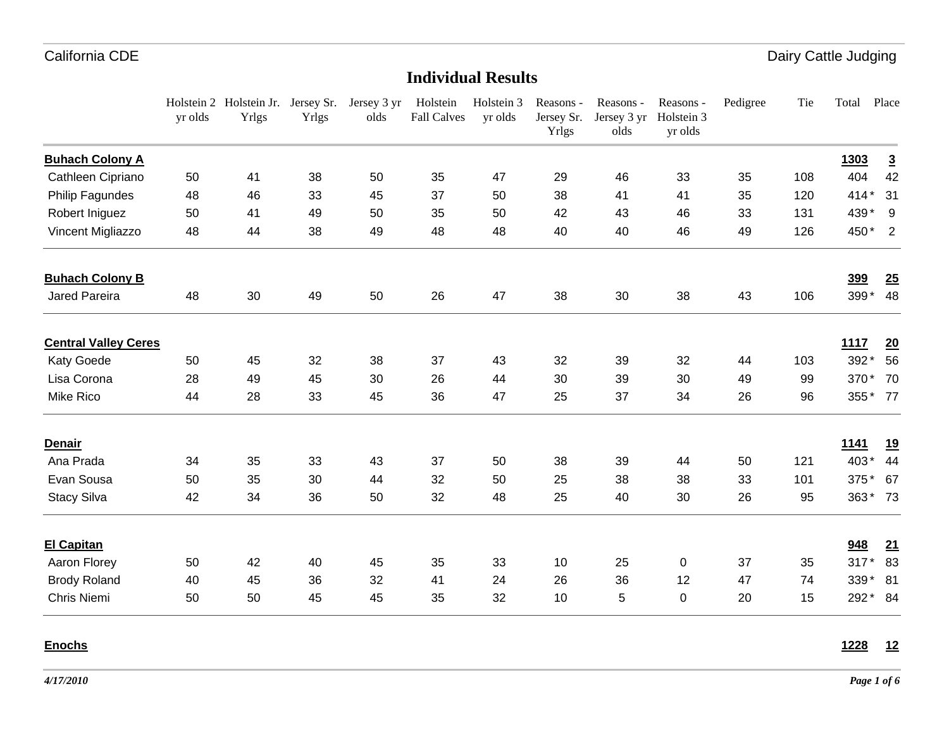Dairy Cattle Judging

#### **Individual Results**

|                             | yr olds | Holstein 2 Holstein Jr.<br>Yrlgs | Yrlgs | Jersey Sr. Jersey 3 yr<br>olds | Holstein<br><b>Fall Calves</b> | Holstein 3<br>yr olds | Reasons -<br>Jersey Sr.<br>Yrlgs | Reasons -<br>Jersey 3 yr<br>olds | Reasons -<br>Holstein 3<br>yr olds | Pedigree | Tie | Total   | Place                      |
|-----------------------------|---------|----------------------------------|-------|--------------------------------|--------------------------------|-----------------------|----------------------------------|----------------------------------|------------------------------------|----------|-----|---------|----------------------------|
| <b>Buhach Colony A</b>      |         |                                  |       |                                |                                |                       |                                  |                                  |                                    |          |     | 1303    | $\overline{3}$             |
| Cathleen Cipriano           | 50      | 41                               | 38    | 50                             | 35                             | 47                    | 29                               | 46                               | 33                                 | 35       | 108 | 404     | 42                         |
| Philip Fagundes             | 48      | 46                               | 33    | 45                             | 37                             | 50                    | 38                               | 41                               | 41                                 | 35       | 120 | $414*$  | 31                         |
| Robert Iniguez              | 50      | 41                               | 49    | 50                             | 35                             | 50                    | 42                               | 43                               | 46                                 | 33       | 131 | 439* 9  |                            |
| Vincent Migliazzo           | 48      | 44                               | 38    | 49                             | 48                             | 48                    | 40                               | 40                               | 46                                 | 49       | 126 | 450*    | $\overline{\phantom{0}}$ 2 |
| <b>Buhach Colony B</b>      |         |                                  |       |                                |                                |                       |                                  |                                  |                                    |          |     | 399     | 25                         |
| Jared Pareira               | 48      | 30                               | 49    | 50                             | 26                             | 47                    | 38                               | 30                               | 38                                 | 43       | 106 | 399*    | 48                         |
| <b>Central Valley Ceres</b> |         |                                  |       |                                |                                |                       |                                  |                                  |                                    |          |     | 1117    | 20                         |
| Katy Goede                  | 50      | 45                               | 32    | 38                             | 37                             | 43                    | 32                               | 39                               | 32                                 | 44       | 103 | 392*    | 56                         |
| Lisa Corona                 | 28      | 49                               | 45    | 30                             | 26                             | 44                    | 30                               | 39                               | 30                                 | 49       | 99  | 370*    | 70                         |
| Mike Rico                   | 44      | 28                               | 33    | 45                             | 36                             | 47                    | 25                               | 37                               | 34                                 | 26       | 96  | 355* 77 |                            |
| <b>Denair</b>               |         |                                  |       |                                |                                |                       |                                  |                                  |                                    |          |     | 1141    | <u>19</u>                  |
| Ana Prada                   | 34      | 35                               | 33    | 43                             | 37                             | 50                    | 38                               | 39                               | 44                                 | 50       | 121 | 403*    | 44                         |
| Evan Sousa                  | 50      | 35                               | 30    | 44                             | 32                             | 50                    | 25                               | 38                               | 38                                 | 33       | 101 | 375*    | 67                         |
| <b>Stacy Silva</b>          | 42      | 34                               | 36    | 50                             | 32                             | 48                    | 25                               | 40                               | 30                                 | 26       | 95  | 363* 73 |                            |
| <b>El Capitan</b>           |         |                                  |       |                                |                                |                       |                                  |                                  |                                    |          |     | 948     | 21                         |
| Aaron Florey                | 50      | 42                               | 40    | 45                             | 35                             | 33                    | 10                               | 25                               | 0                                  | 37       | 35  | $317*$  | 83                         |
| <b>Brody Roland</b>         | 40      | 45                               | 36    | 32                             | 41                             | 24                    | 26                               | 36                               | 12                                 | 47       | 74  | 339*    | 81                         |
| Chris Niemi                 | 50      | 50                               | 45    | 45                             | 35                             | 32                    | 10                               | 5                                | $\Omega$                           | 20       | 15  | 292* 84 |                            |

**Enochs**

**1228 12**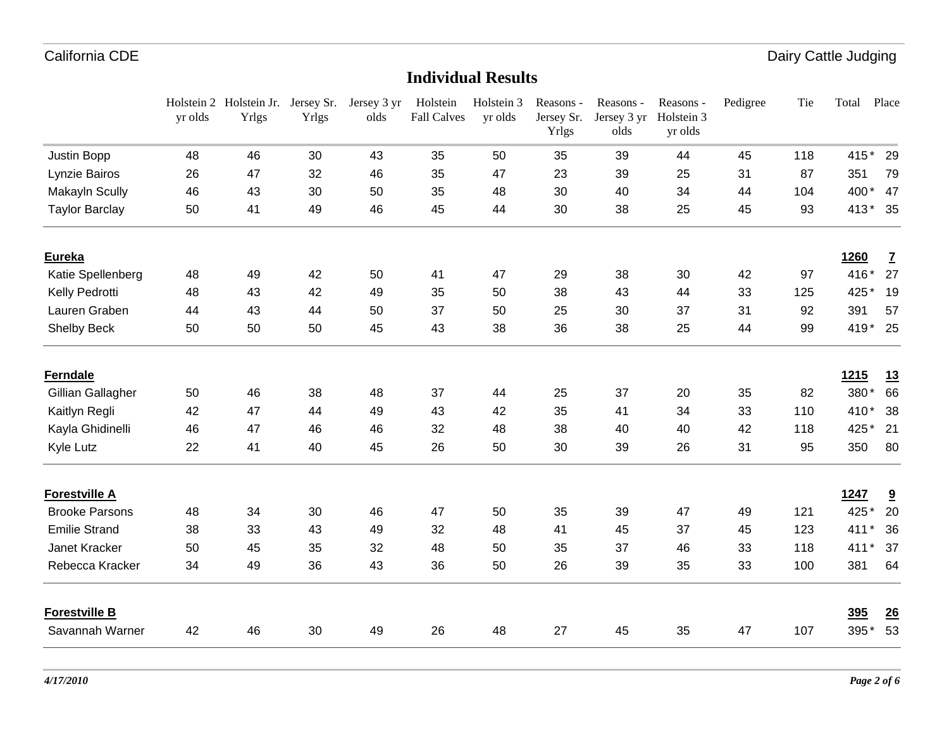Dairy Cattle Judging

|                       | yr olds | Holstein 2 Holstein Jr. Jersey Sr.<br>Yrlgs | Yrlgs | Jersey 3 yr<br>olds | Holstein<br><b>Fall Calves</b> | Holstein 3<br>yr olds | Reasons -<br>Jersey Sr.<br>Yrlgs | Reasons -<br>Jersey 3 yr<br>olds | Reasons -<br>Holstein 3<br>yr olds | Pedigree | Tie | Total       | Place                    |
|-----------------------|---------|---------------------------------------------|-------|---------------------|--------------------------------|-----------------------|----------------------------------|----------------------------------|------------------------------------|----------|-----|-------------|--------------------------|
| Justin Bopp           | 48      | 46                                          | 30    | 43                  | 35                             | 50                    | 35                               | 39                               | 44                                 | 45       | 118 | $415*$      | 29                       |
| Lynzie Bairos         | 26      | 47                                          | 32    | 46                  | 35                             | 47                    | 23                               | 39                               | 25                                 | 31       | 87  | 351         | 79                       |
| Makayln Scully        | 46      | 43                                          | 30    | 50                  | 35                             | 48                    | 30                               | 40                               | 34                                 | 44       | 104 |             | 400* 47                  |
| <b>Taylor Barclay</b> | 50      | 41                                          | 49    | 46                  | 45                             | 44                    | 30                               | 38                               | 25                                 | 45       | 93  |             | 413* 35                  |
| <b>Eureka</b>         |         |                                             |       |                     |                                |                       |                                  |                                  |                                    |          |     | 1260        | $\underline{\mathbf{7}}$ |
| Katie Spellenberg     | 48      | 49                                          | 42    | 50                  | 41                             | 47                    | 29                               | 38                               | 30                                 | 42       | 97  | 416*        | 27                       |
| Kelly Pedrotti        | 48      | 43                                          | 42    | 49                  | 35                             | 50                    | 38                               | 43                               | 44                                 | 33       | 125 | 425*        | 19                       |
| Lauren Graben         | 44      | 43                                          | 44    | 50                  | 37                             | 50                    | 25                               | 30                               | 37                                 | 31       | 92  | 391         | 57                       |
| Shelby Beck           | 50      | 50                                          | 50    | 45                  | 43                             | 38                    | 36                               | 38                               | 25                                 | 44       | 99  |             | 419* 25                  |
| <b>Ferndale</b>       |         |                                             |       |                     |                                |                       |                                  |                                  |                                    |          |     | <b>1215</b> | <u>13</u>                |
| Gillian Gallagher     | 50      | 46                                          | 38    | 48                  | 37                             | 44                    | 25                               | 37                               | 20                                 | 35       | 82  | 380*        | 66                       |
| Kaitlyn Regli         | 42      | 47                                          | 44    | 49                  | 43                             | 42                    | 35                               | 41                               | 34                                 | 33       | 110 | 410*        | 38                       |
| Kayla Ghidinelli      | 46      | 47                                          | 46    | 46                  | 32                             | 48                    | 38                               | 40                               | 40                                 | 42       | 118 | 425*        | 21                       |
| Kyle Lutz             | 22      | 41                                          | 40    | 45                  | 26                             | 50                    | 30                               | 39                               | 26                                 | 31       | 95  | 350         | 80                       |
| <b>Forestville A</b>  |         |                                             |       |                     |                                |                       |                                  |                                  |                                    |          |     | 1247        | $\overline{\mathbf{a}}$  |
| <b>Brooke Parsons</b> | 48      | 34                                          | 30    | 46                  | 47                             | 50                    | 35                               | 39                               | 47                                 | 49       | 121 | 425*        | 20                       |
| <b>Emilie Strand</b>  | 38      | 33                                          | 43    | 49                  | 32                             | 48                    | 41                               | 45                               | 37                                 | 45       | 123 | 411         | 36                       |
| Janet Kracker         | 50      | 45                                          | 35    | 32                  | 48                             | 50                    | 35                               | 37                               | 46                                 | 33       | 118 | 411         | 37<br>$\star$            |
| Rebecca Kracker       | 34      | 49                                          | 36    | 43                  | 36                             | 50                    | 26                               | 39                               | 35                                 | 33       | 100 | 381         | 64                       |
| <b>Forestville B</b>  |         |                                             |       |                     |                                |                       |                                  |                                  |                                    |          |     | 395         | 26                       |
| Savannah Warner       | 42      | 46                                          | 30    | 49                  | 26                             | 48                    | 27                               | 45                               | 35                                 | 47       | 107 | 395*        | 53                       |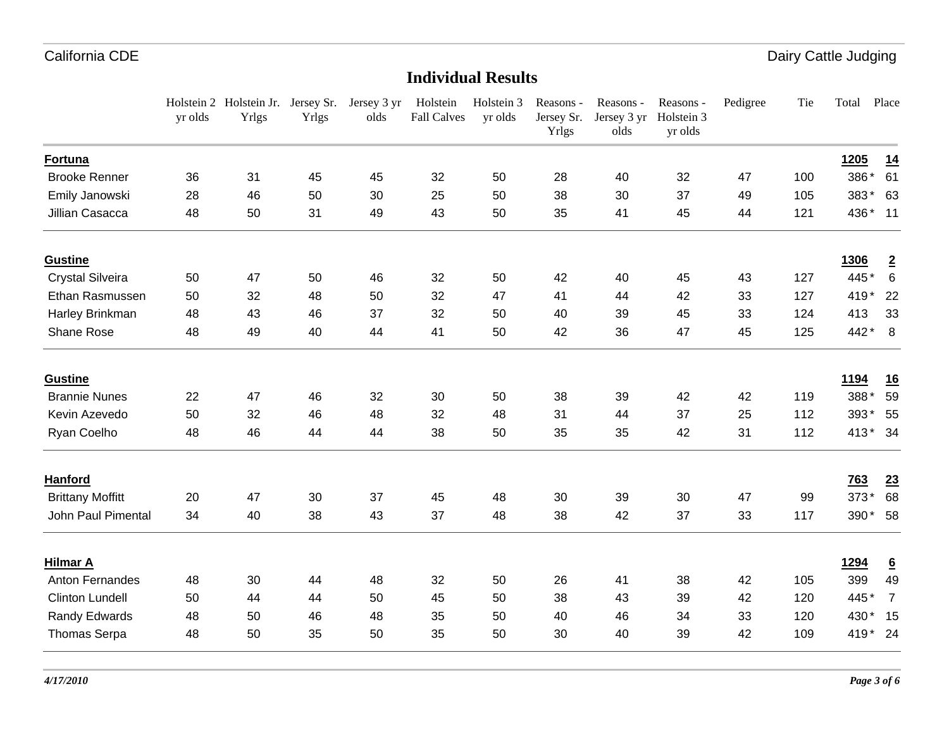Dairy Cattle Judging

|                         | yr olds | Holstein 2 Holstein Jr. Jersey Sr. Jersey 3 yr<br>Yrlgs | Yrlgs | olds | Holstein<br><b>Fall Calves</b> | Holstein 3<br>yr olds | Reasons -<br>Jersey Sr.<br>Yrlgs | Reasons -<br>Jersey 3 yr<br>olds | Reasons -<br>Holstein 3<br>yr olds | Pedigree | Tie | Total       | Place           |
|-------------------------|---------|---------------------------------------------------------|-------|------|--------------------------------|-----------------------|----------------------------------|----------------------------------|------------------------------------|----------|-----|-------------|-----------------|
| Fortuna                 |         |                                                         |       |      |                                |                       |                                  |                                  |                                    |          |     | 1205        | 14              |
| <b>Brooke Renner</b>    | 36      | 31                                                      | 45    | 45   | 32                             | 50                    | 28                               | 40                               | 32                                 | 47       | 100 | 386*        | 61              |
| Emily Janowski          | 28      | 46                                                      | 50    | 30   | 25                             | 50                    | 38                               | 30                               | 37                                 | 49       | 105 | 383*        | 63              |
| Jillian Casacca         | 48      | 50                                                      | 31    | 49   | 43                             | 50                    | 35                               | 41                               | 45                                 | 44       | 121 | 436* 11     |                 |
| <b>Gustine</b>          |         |                                                         |       |      |                                |                       |                                  |                                  |                                    |          |     | <b>1306</b> | $\overline{2}$  |
| <b>Crystal Silveira</b> | 50      | 47                                                      | 50    | 46   | 32                             | 50                    | 42                               | 40                               | 45                                 | 43       | 127 | 445*        | 6               |
| Ethan Rasmussen         | 50      | 32                                                      | 48    | 50   | 32                             | 47                    | 41                               | 44                               | 42                                 | 33       | 127 | 419*        | 22              |
| Harley Brinkman         | 48      | 43                                                      | 46    | 37   | 32                             | 50                    | 40                               | 39                               | 45                                 | 33       | 124 | 413         | 33              |
| Shane Rose              | 48      | 49                                                      | 40    | 44   | 41                             | 50                    | 42                               | 36                               | 47                                 | 45       | 125 | 442*        | 8               |
| <b>Gustine</b>          |         |                                                         |       |      |                                |                       |                                  |                                  |                                    |          |     | <u>1194</u> | <u>16</u>       |
| <b>Brannie Nunes</b>    | 22      | 47                                                      | 46    | 32   | 30                             | 50                    | 38                               | 39                               | 42                                 | 42       | 119 | 388*        | 59              |
| Kevin Azevedo           | 50      | 32                                                      | 46    | 48   | 32                             | 48                    | 31                               | 44                               | 37                                 | 25       | 112 | 393* 55     |                 |
| Ryan Coelho             | 48      | 46                                                      | 44    | 44   | 38                             | 50                    | 35                               | 35                               | 42                                 | 31       | 112 | 413* 34     |                 |
| <b>Hanford</b>          |         |                                                         |       |      |                                |                       |                                  |                                  |                                    |          |     | 763         | 23              |
| <b>Brittany Moffitt</b> | 20      | 47                                                      | 30    | 37   | 45                             | 48                    | 30                               | 39                               | 30                                 | 47       | 99  | 373*        | 68              |
| John Paul Pimental      | 34      | 40                                                      | 38    | 43   | 37                             | 48                    | 38                               | 42                               | 37                                 | 33       | 117 | 390* 58     |                 |
| <b>Hilmar A</b>         |         |                                                         |       |      |                                |                       |                                  |                                  |                                    |          |     | <u>1294</u> | $\underline{6}$ |
| Anton Fernandes         | 48      | 30                                                      | 44    | 48   | 32                             | 50                    | 26                               | 41                               | 38                                 | 42       | 105 | 399         | 49              |
| <b>Clinton Lundell</b>  | 50      | 44                                                      | 44    | 50   | 45                             | 50                    | 38                               | 43                               | 39                                 | 42       | 120 | 445*        | $\overline{7}$  |
| Randy Edwards           | 48      | 50                                                      | 46    | 48   | 35                             | 50                    | 40                               | 46                               | 34                                 | 33       | 120 | 430* 15     |                 |
| <b>Thomas Serpa</b>     | 48      | 50                                                      | 35    | 50   | 35                             | 50                    | 30                               | 40                               | 39                                 | 42       | 109 | 419* 24     |                 |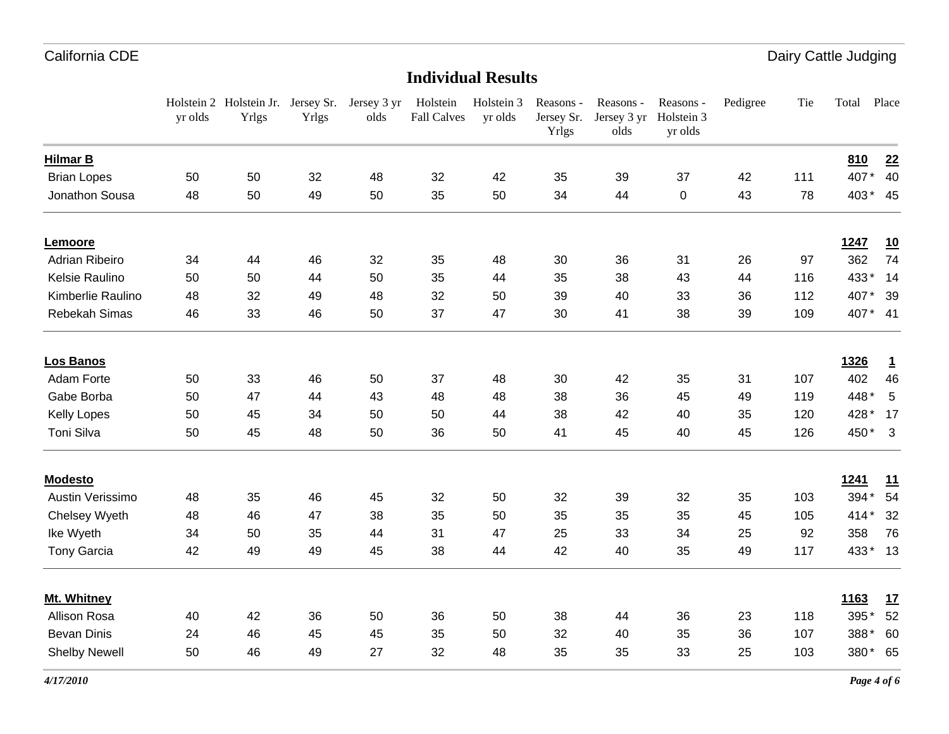Dairy Cattle Judging

|                       | yr olds | Holstein 2 Holstein Jr. Jersey Sr. Jersey 3 yr<br>Yrlgs | <b>Yrlgs</b> | olds | Holstein<br><b>Fall Calves</b> | Holstein 3<br>yr olds | Reasons -<br>Jersey Sr.<br>Yrlgs | Reasons -<br>Jersey 3 yr<br>olds | Reasons -<br>Holstein 3<br>yr olds | Pedigree | Tie | Total       | Place                   |
|-----------------------|---------|---------------------------------------------------------|--------------|------|--------------------------------|-----------------------|----------------------------------|----------------------------------|------------------------------------|----------|-----|-------------|-------------------------|
| <b>Hilmar B</b>       |         |                                                         |              |      |                                |                       |                                  |                                  |                                    |          |     | 810         | 22                      |
| <b>Brian Lopes</b>    | 50      | 50                                                      | 32           | 48   | 32                             | 42                    | 35                               | 39                               | 37                                 | 42       | 111 | 407*        | 40                      |
| Jonathon Sousa        | 48      | 50                                                      | 49           | 50   | 35                             | 50                    | 34                               | 44                               | 0                                  | 43       | 78  | 403* 45     |                         |
| Lemoore               |         |                                                         |              |      |                                |                       |                                  |                                  |                                    |          |     | 1247        | 10                      |
| <b>Adrian Ribeiro</b> | 34      | 44                                                      | 46           | 32   | 35                             | 48                    | 30                               | 36                               | 31                                 | 26       | 97  | 362         | 74                      |
| Kelsie Raulino        | 50      | 50                                                      | 44           | 50   | 35                             | 44                    | 35                               | 38                               | 43                                 | 44       | 116 | 433*        | 14                      |
| Kimberlie Raulino     | 48      | 32                                                      | 49           | 48   | 32                             | 50                    | 39                               | 40                               | 33                                 | 36       | 112 | 407*        | 39                      |
| Rebekah Simas         | 46      | 33                                                      | 46           | 50   | 37                             | 47                    | 30                               | 41                               | 38                                 | 39       | 109 | 407* 41     |                         |
| <b>Los Banos</b>      |         |                                                         |              |      |                                |                       |                                  |                                  |                                    |          |     | 1326        | $\mathbf{1}$            |
| Adam Forte            | 50      | 33                                                      | 46           | 50   | 37                             | 48                    | 30                               | 42                               | 35                                 | 31       | 107 | 402         | 46                      |
| Gabe Borba            | 50      | 47                                                      | 44           | 43   | 48                             | 48                    | 38                               | 36                               | 45                                 | 49       | 119 | 448*        | 5                       |
| <b>Kelly Lopes</b>    | 50      | 45                                                      | 34           | 50   | 50                             | 44                    | 38                               | 42                               | 40                                 | 35       | 120 | 428 *       | 17                      |
| Toni Silva            | 50      | 45                                                      | 48           | 50   | 36                             | 50                    | 41                               | 45                               | 40                                 | 45       | 126 | 450*        | $\overline{\mathbf{3}}$ |
| <b>Modesto</b>        |         |                                                         |              |      |                                |                       |                                  |                                  |                                    |          |     | <u>1241</u> | 11                      |
| Austin Verissimo      | 48      | 35                                                      | 46           | 45   | 32                             | 50                    | 32                               | 39                               | 32                                 | 35       | 103 | 394*        | 54                      |
| Chelsey Wyeth         | 48      | 46                                                      | 47           | 38   | 35                             | 50                    | 35                               | 35                               | 35                                 | 45       | 105 | $414*$      | 32                      |
| Ike Wyeth             | 34      | 50                                                      | 35           | 44   | 31                             | 47                    | 25                               | 33                               | 34                                 | 25       | 92  | 358         | 76                      |
| <b>Tony Garcia</b>    | 42      | 49                                                      | 49           | 45   | 38                             | 44                    | 42                               | 40                               | 35                                 | 49       | 117 | 433* 13     |                         |
| Mt. Whitney           |         |                                                         |              |      |                                |                       |                                  |                                  |                                    |          |     | <u>1163</u> | 17                      |
| Allison Rosa          | 40      | 42                                                      | 36           | 50   | 36                             | 50                    | 38                               | 44                               | 36                                 | 23       | 118 | 395*        | 52                      |
| <b>Bevan Dinis</b>    | 24      | 46                                                      | 45           | 45   | 35                             | 50                    | 32                               | 40                               | 35                                 | 36       | 107 | 388*        | 60                      |
| <b>Shelby Newell</b>  | 50      | 46                                                      | 49           | 27   | 32                             | 48                    | 35                               | 35                               | 33                                 | 25       | 103 | 380* 65     |                         |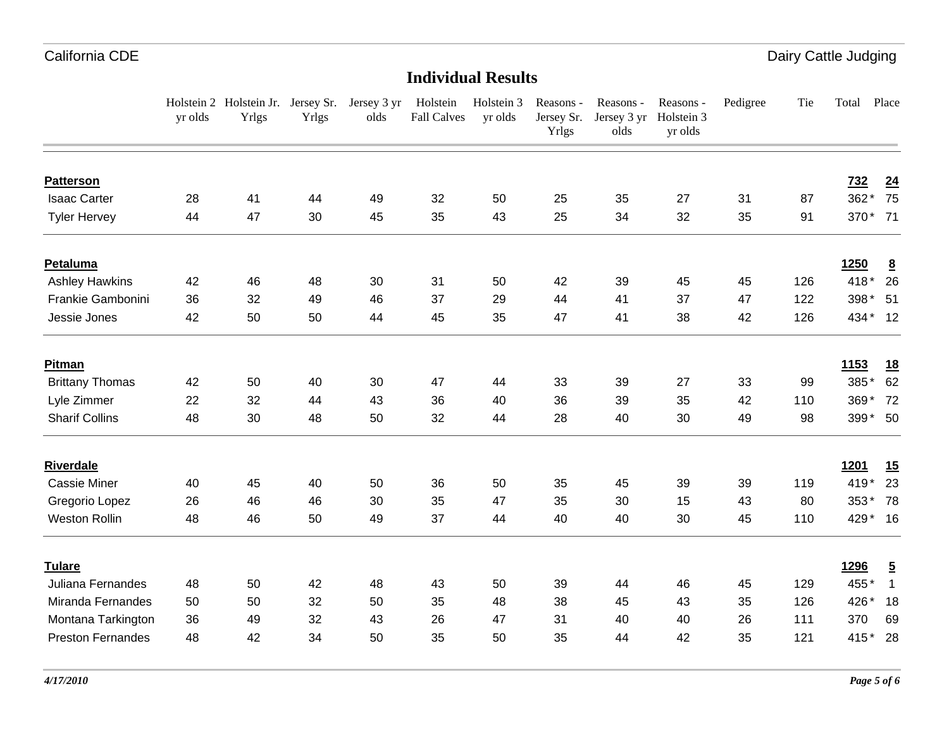|                          | yr olds | Holstein 2 Holstein Jr. Jersey Sr. Jersey 3 yr Holstein<br>Yrlgs | Yrlgs | olds | <b>Fall Calves</b> | Holstein 3<br>yr olds | Reasons -<br>Jersey Sr.<br><b>Yrlgs</b> | Reasons -<br>Jersey 3 yr<br>olds | Reasons -<br>Holstein 3<br>yr olds | Pedigree | Tie | Total       | Place           |
|--------------------------|---------|------------------------------------------------------------------|-------|------|--------------------|-----------------------|-----------------------------------------|----------------------------------|------------------------------------|----------|-----|-------------|-----------------|
| <b>Patterson</b>         |         |                                                                  |       |      |                    |                       |                                         |                                  |                                    |          |     | <u>732</u>  | $\overline{24}$ |
| <b>Isaac Carter</b>      | 28      | 41                                                               | 44    | 49   | 32                 | 50                    | 25                                      | 35                               | 27                                 | 31       | 87  | 362*        | 75              |
| <b>Tyler Hervey</b>      | 44      | 47                                                               | 30    | 45   | 35                 | 43                    | 25                                      | 34                               | 32                                 | 35       | 91  |             | 370* 71         |
| Petaluma                 |         |                                                                  |       |      |                    |                       |                                         |                                  |                                    |          |     | <b>1250</b> | $\underline{8}$ |
| <b>Ashley Hawkins</b>    | 42      | 46                                                               | 48    | 30   | 31                 | 50                    | 42                                      | 39                               | 45                                 | 45       | 126 | 418*        | 26              |
| Frankie Gambonini        | 36      | 32                                                               | 49    | 46   | 37                 | 29                    | 44                                      | 41                               | 37                                 | 47       | 122 |             | 398 * 51        |
| Jessie Jones             | 42      | 50                                                               | 50    | 44   | 45                 | 35                    | 47                                      | 41                               | 38                                 | 42       | 126 |             | 434* 12         |
| <b>Pitman</b>            |         |                                                                  |       |      |                    |                       |                                         |                                  |                                    |          |     | <u>1153</u> | <u>18</u>       |
| <b>Brittany Thomas</b>   | 42      | 50                                                               | 40    | 30   | 47                 | 44                    | 33                                      | 39                               | 27                                 | 33       | 99  | 385*        | 62              |
| Lyle Zimmer              | 22      | 32                                                               | 44    | 43   | 36                 | 40                    | 36                                      | 39                               | 35                                 | 42       | 110 | $369*$      | 72              |
| <b>Sharif Collins</b>    | 48      | 30                                                               | 48    | 50   | 32                 | 44                    | 28                                      | 40                               | 30                                 | 49       | 98  |             | 399* 50         |
| <b>Riverdale</b>         |         |                                                                  |       |      |                    |                       |                                         |                                  |                                    |          |     | <u>1201</u> | 15              |
| <b>Cassie Miner</b>      | 40      | 45                                                               | 40    | 50   | 36                 | 50                    | 35                                      | 45                               | 39                                 | 39       | 119 | 419*        | 23              |
| Gregorio Lopez           | 26      | 46                                                               | 46    | 30   | 35                 | 47                    | 35                                      | 30                               | 15                                 | 43       | 80  | 353* 78     |                 |
| <b>Weston Rollin</b>     | 48      | 46                                                               | 50    | 49   | 37                 | 44                    | 40                                      | 40                               | 30                                 | 45       | 110 | 429* 16     |                 |
| <b>Tulare</b>            |         |                                                                  |       |      |                    |                       |                                         |                                  |                                    |          |     | 1296        | $\overline{5}$  |
| Juliana Fernandes        | 48      | 50                                                               | 42    | 48   | 43                 | 50                    | 39                                      | 44                               | 46                                 | 45       | 129 | 455*        | $\overline{1}$  |
| Miranda Fernandes        | 50      | 50                                                               | 32    | 50   | 35                 | 48                    | 38                                      | 45                               | 43                                 | 35       | 126 | 426 *       | 18              |
| Montana Tarkington       | 36      | 49                                                               | 32    | 43   | 26                 | 47                    | 31                                      | 40                               | 40                                 | 26       | 111 | 370         | 69              |
| <b>Preston Fernandes</b> | 48      | 42                                                               | 34    | 50   | 35                 | 50                    | 35                                      | 44                               | 42                                 | 35       | 121 | $415*$      | - 28            |